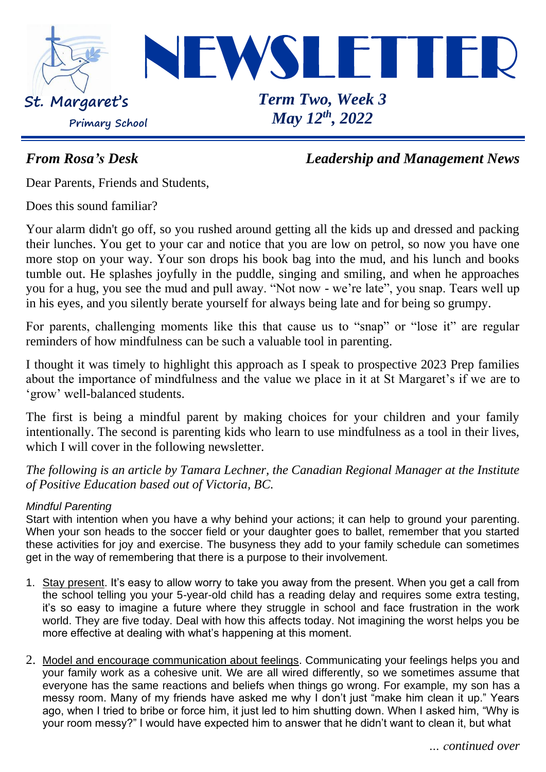

*From Rosa's Desk Leadership and Management News*

Dear Parents, Friends and Students,

Does this sound familiar?

Your alarm didn't go off, so you rushed around getting all the kids up and dressed and packing their lunches. You get to your car and notice that you are low on petrol, so now you have one more stop on your way. Your son drops his book bag into the mud, and his lunch and books tumble out. He splashes joyfully in the puddle, singing and smiling, and when he approaches you for a hug, you see the mud and pull away. "Not now - we're late", you snap. Tears well up in his eyes, and you silently berate yourself for always being late and for being so grumpy.

For parents, challenging moments like this that cause us to "snap" or "lose it" are regular reminders of how mindfulness can be such a valuable tool in parenting.

I thought it was timely to highlight this approach as I speak to prospective 2023 Prep families about the importance of mindfulness and the value we place in it at St Margaret's if we are to 'grow' well-balanced students.

The first is being a mindful parent by making choices for your children and your family intentionally. The second is parenting kids who learn to use mindfulness as a tool in their lives, which I will cover in the following newsletter.

*The following is an article by Tamara Lechner, the Canadian Regional Manager at the Institute of Positive Education based out of Victoria, BC.*

#### *Mindful Parenting*

Start with intention when you have a why behind your actions; it can help to ground your parenting. When your son heads to the soccer field or your daughter goes to ballet, remember that you started these activities for joy and exercise. The busyness they add to your family schedule can sometimes get in the way of remembering that there is a purpose to their involvement.

- 1. Stay present. It's easy to allow worry to take you away from the present. When you get a call from the school telling you your 5-year-old child has a reading delay and requires some extra testing, it's so easy to imagine a future where they struggle in school and face frustration in the work world. They are five today. Deal with how this affects today. Not imagining the worst helps you be more effective at dealing with what's happening at this moment.
- 2. Model and encourage communication about feelings. Communicating your feelings helps you and your family work as a cohesive unit. We are all wired differently, so we sometimes assume that everyone has the same reactions and beliefs when things go wrong. For example, my son has a messy room. Many of my friends have asked me why I don't just "make him clean it up." Years ago, when I tried to bribe or force him, it just led to him shutting down. When I asked him, "Why is your room messy?" I would have expected him to answer that he didn't want to clean it, but what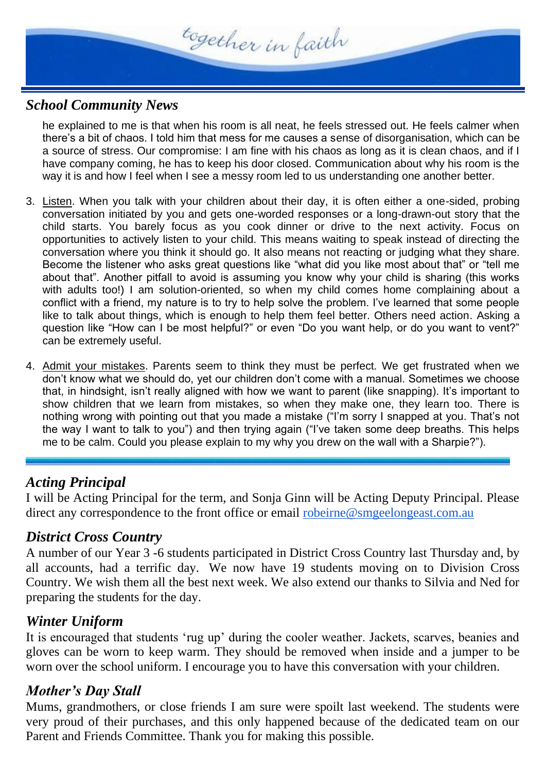

#### *School Community News*

he explained to me is that when his room is all neat, he feels stressed out. He feels calmer when there's a bit of chaos. I told him that mess for me causes a sense of disorganisation, which can be a source of stress. Our compromise: I am fine with his chaos as long as it is clean chaos, and if I have company coming, he has to keep his door closed. Communication about why his room is the way it is and how I feel when I see a messy room led to us understanding one another better.

- 3. Listen. When you talk with your children about their day, it is often either a one-sided, probing conversation initiated by you and gets one-worded responses or a long-drawn-out story that the child starts. You barely focus as you cook dinner or drive to the next activity. Focus on opportunities to actively listen to your child. This means waiting to speak instead of directing the conversation where you think it should go. It also means not reacting or judging what they share. Become the listener who asks great questions like "what did you like most about that" or "tell me about that". Another pitfall to avoid is assuming you know why your child is sharing (this works with adults too!) I am solution-oriented, so when my child comes home complaining about a conflict with a friend, my nature is to try to help solve the problem. I've learned that some people like to talk about things, which is enough to help them feel better. Others need action. Asking a question like "How can I be most helpful?" or even "Do you want help, or do you want to vent?" can be extremely useful.
- 4. Admit your mistakes. Parents seem to think they must be perfect. We get frustrated when we don't know what we should do, yet our children don't come with a manual. Sometimes we choose that, in hindsight, isn't really aligned with how we want to parent (like snapping). It's important to show children that we learn from mistakes, so when they make one, they learn too. There is nothing wrong with pointing out that you made a mistake ("I'm sorry I snapped at you. That's not the way I want to talk to you") and then trying again ("I've taken some deep breaths. This helps me to be calm. Could you please explain to my why you drew on the wall with a Sharpie?").

#### *Acting Principal*

I will be Acting Principal for the term, and Sonja Ginn will be Acting Deputy Principal. Please direct any correspondence to the front office or email [robeirne@smgeelongeast.com.au](mailto:robeirne@smgeelomgeast.com.au)

#### *District Cross Country*

A number of our Year 3 -6 students participated in District Cross Country last Thursday and, by all accounts, had a terrific day. We now have 19 students moving on to Division Cross Country. We wish them all the best next week. We also extend our thanks to Silvia and Ned for preparing the students for the day.

#### *Winter Uniform*

It is encouraged that students 'rug up' during the cooler weather. Jackets, scarves, beanies and gloves can be worn to keep warm. They should be removed when inside and a jumper to be worn over the school uniform. I encourage you to have this conversation with your children.

#### *Mother's Day Stall*

Mums, grandmothers, or close friends I am sure were spoilt last weekend. The students were very proud of their purchases, and this only happened because of the dedicated team on our Parent and Friends Committee. Thank you for making this possible.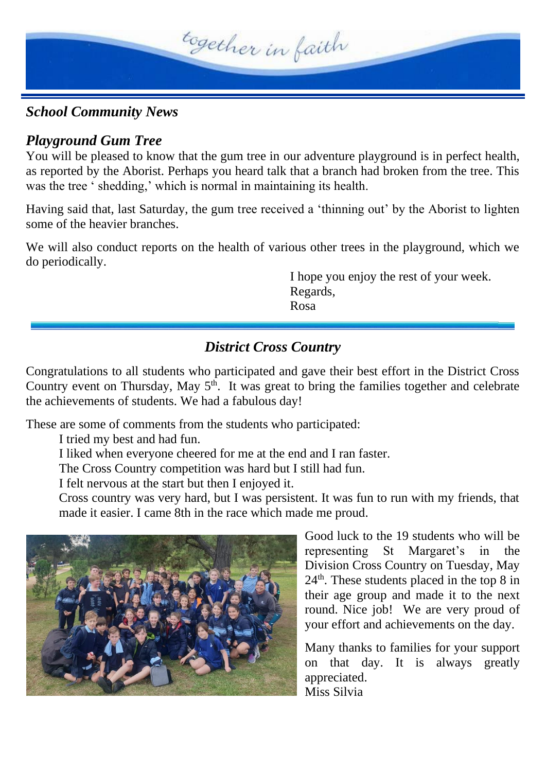

#### *School Community News*

#### *Playground Gum Tree*

You will be pleased to know that the gum tree in our adventure playground is in perfect health, as reported by the Aborist. Perhaps you heard talk that a branch had broken from the tree. This was the tree ' shedding,' which is normal in maintaining its health.

Having said that, last Saturday, the gum tree received a 'thinning out' by the Aborist to lighten some of the heavier branches.

We will also conduct reports on the health of various other trees in the playground, which we do periodically.

> I hope you enjoy the rest of your week. Regards, Rosa

### *District Cross Country*

Congratulations to all students who participated and gave their best effort in the District Cross Country event on Thursday, May  $5<sup>th</sup>$ . It was great to bring the families together and celebrate the achievements of students. We had a fabulous day!

These are some of comments from the students who participated:

I tried my best and had fun.

I liked when everyone cheered for me at the end and I ran faster.

The Cross Country competition was hard but I still had fun.

I felt nervous at the start but then I enjoyed it.

Cross country was very hard, but I was persistent. It was fun to run with my friends, that made it easier. I came 8th in the race which made me proud.



Good luck to the 19 students who will be representing St Margaret's in the Division Cross Country on Tuesday, May 24th. These students placed in the top 8 in their age group and made it to the next round. Nice job! We are very proud of your effort and achievements on the day.

Many thanks to families for your support on that day. It is always greatly appreciated. Miss Silvia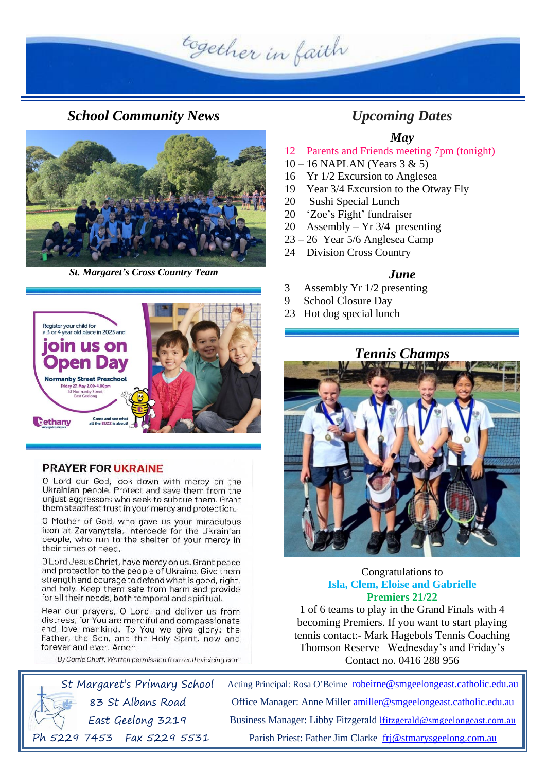together in faith

*School Community News Upcoming Dates*



*St. Margaret's Cross Country Team*



O Mother of God, who gave us your miraculous icon at Zarvanytsia, intercede for the Ukrainian people, who run to the shelter of your mercy in their times of need.

O Lord Jesus Christ, have mercy on us. Grant peace and protection to the people of Ukraine. Give them strength and courage to defend what is good, right, and holy. Keep them safe from harm and provide for all their needs, both temporal and spiritual.

Hear our prayers, O Lord, and deliver us from distress, for You are merciful and compassionate and love mankind. To You we give glory: the Father, the Son, and the Holy Spirit, now and forever and ever. Amen.

By Carrie Chuff. Written permission from catholicicing.com

# **PRAYER FOR UKRAINE** O Lord our God, look down with mercy on the Ukrainian people. Protect and save them from the unjust aggressors who seek to subdue them. Grant them steadfast trust in your mercy and protection.

# *June* 3 Assembly Yr 1/2 presenting

9 School Closure Day

10 – 16 NAPLAN (Years 3 & 5) 16 Yr 1/2 Excursion to Anglesea

20 Assembly – Yr 3/4 presenting 23 – 26 Year 5/6 Anglesea Camp 24 Division Cross Country

20 Sushi Special Lunch 20 'Zoe's Fight' fundraiser

19 Year 3/4 Excursion to the Otway Fly

23 Hot dog special lunch



*May* 12 Parents and Friends meeting 7pm (tonight)



#### Congratulations to **Isla, Clem, Eloise and Gabrielle Premiers 21/22**

1 of 6 teams to play in the Grand Finals with 4 becoming Premiers. If you want to start playing tennis contact:- Mark Hagebols Tennis Coaching Thomson Reserve Wednesday's and Friday's Contact no. 0416 288 956

Acting Principal: Rosa O'Beirne [robeirne@smgeelongeast.catholic.edu.au](mailto:robeirne@smgeelongeast.catholic.edu.au) Office Manager: Anne Miller [amiller@smgeelongeast.catholic.edu.au](mailto:amiller@smgeelongeast.catholic.edu.au) Business Manager: Libby Fitzgerald [lfitzgerald@smgeelongeast.com.au](mailto:lfitzgerald@smgeelongeast.com.au) Parish Priest: Father Jim Clarke [frj@stmarysgeelong.com.au](mailto:frj@stmarysgeelong.com.au)

St Margaret's Primary School 83 St Albans Road East Geelong 3219 Ph 5229 7453 Fax 5229 5531